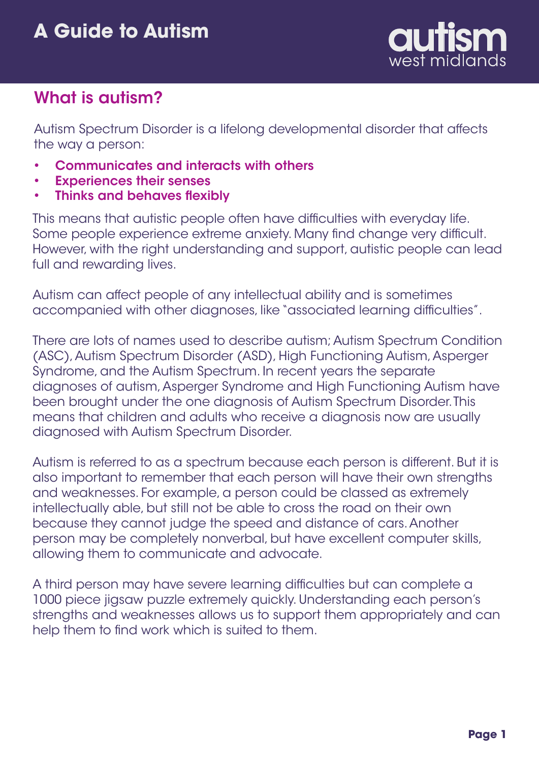

# What is autism?

Autism Spectrum Disorder is a lifelong developmental disorder that affects the way a person:

- Communicates and interacts with others •
- Experiences their senses •
- Thinks and behaves flexibly •

This means that autistic people often have difficulties with everyday life. Some people experience extreme anxiety. Many find change very difficult. However, with the right understanding and support, autistic people can lead full and rewarding lives.

Autism can affect people of any intellectual ability and is sometimes accompanied with other diagnoses, like "associated learning difficulties".

There are lots of names used to describe autism; Autism Spectrum Condition (ASC), Autism Spectrum Disorder (ASD), High Functioning Autism, Asperger Syndrome, and the Autism Spectrum. In recent years the separate diagnoses of autism, Asperger Syndrome and High Functioning Autism have been brought under the one diagnosis of Autism Spectrum Disorder. This means that children and adults who receive a diagnosis now are usually diagnosed with Autism Spectrum Disorder.

Autism is referred to as a spectrum because each person is different. But it is also important to remember that each person will have their own strengths and weaknesses. For example, a person could be classed as extremely intellectually able, but still not be able to cross the road on their own because they cannot judge the speed and distance of cars. Another person may be completely nonverbal, but have excellent computer skills, allowing them to communicate and advocate.

A third person may have severe learning difficulties but can complete a 1000 piece jigsaw puzzle extremely quickly. Understanding each person's strengths and weaknesses allows us to support them appropriately and can help them to find work which is suited to them.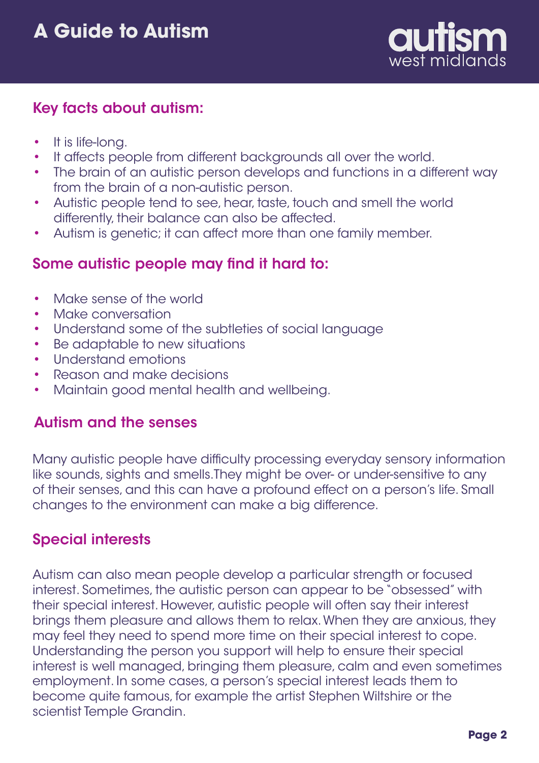

## Key facts about autism:

- It is life-long. •
- It affects people from different backgrounds all over the world. •
- The brain of an autistic person develops and functions in a different way from the brain of a non-autistic person. •
- Autistic people tend to see, hear, taste, touch and smell the world differently, their balance can also be affected. •
- Autism is genetic; it can affect more than one family member. •

## Some autistic people may find it hard to:

- Make sense of the world •
- Make conversation •
- Understand some of the subtleties of social language •
- Be adaptable to new situations •
- Understand emotions •
- Reason and make decisions •
- Maintain good mental health and wellbeing. •

#### Autism and the senses

Many autistic people have difficulty processing everyday sensory information like sounds, sights and smells.They might be over- or under-sensitive to any of their senses, and this can have a profound effect on a person's life. Small changes to the environment can make a big difference.

## Special interests

Autism can also mean people develop a particular strength or focused interest. Sometimes, the autistic person can appear to be "obsessed" with their special interest. However, autistic people will often say their interest brings them pleasure and allows them to relax. When they are anxious, they may feel they need to spend more time on their special interest to cope. Understanding the person you support will help to ensure their special interest is well managed, bringing them pleasure, calm and even sometimes employment. In some cases, a person's special interest leads them to become quite famous, for example the artist Stephen Wiltshire or the scientist Temple Grandin.